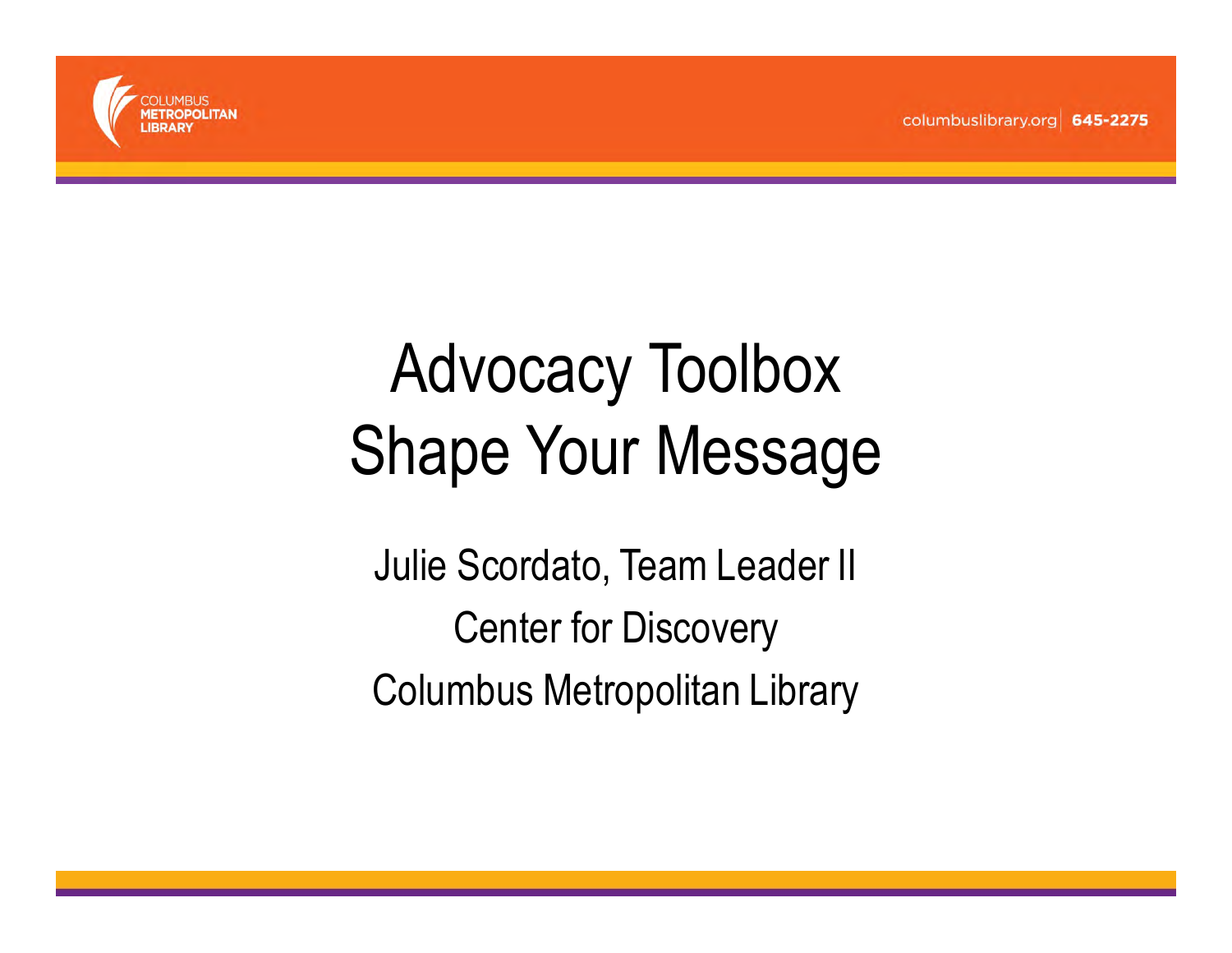

#### Advocacy ToolboxShape Your Message

Julie Scordato, Team Leader IICenter for DiscoveryColumbus Metropolitan Library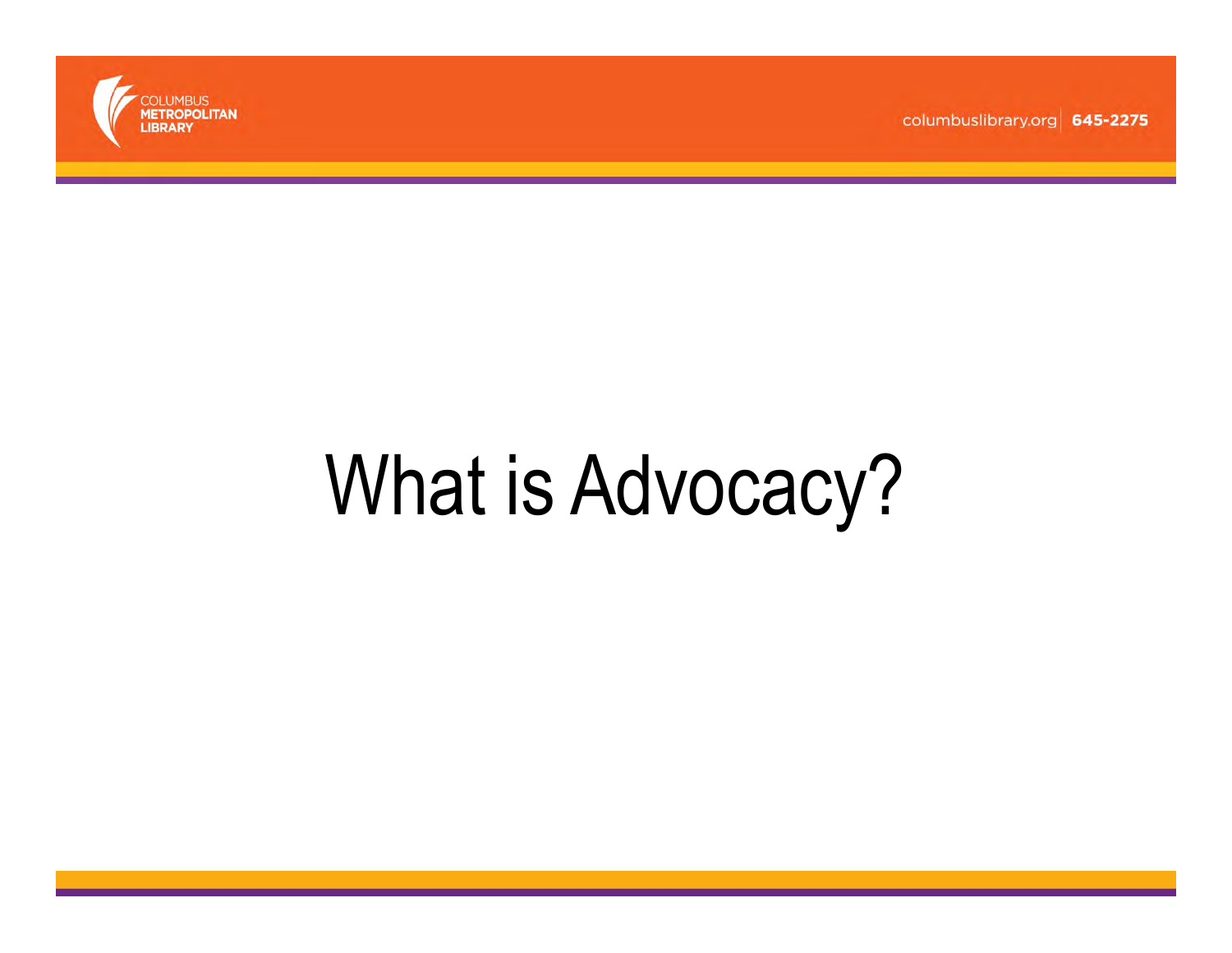

### What is Advocacy?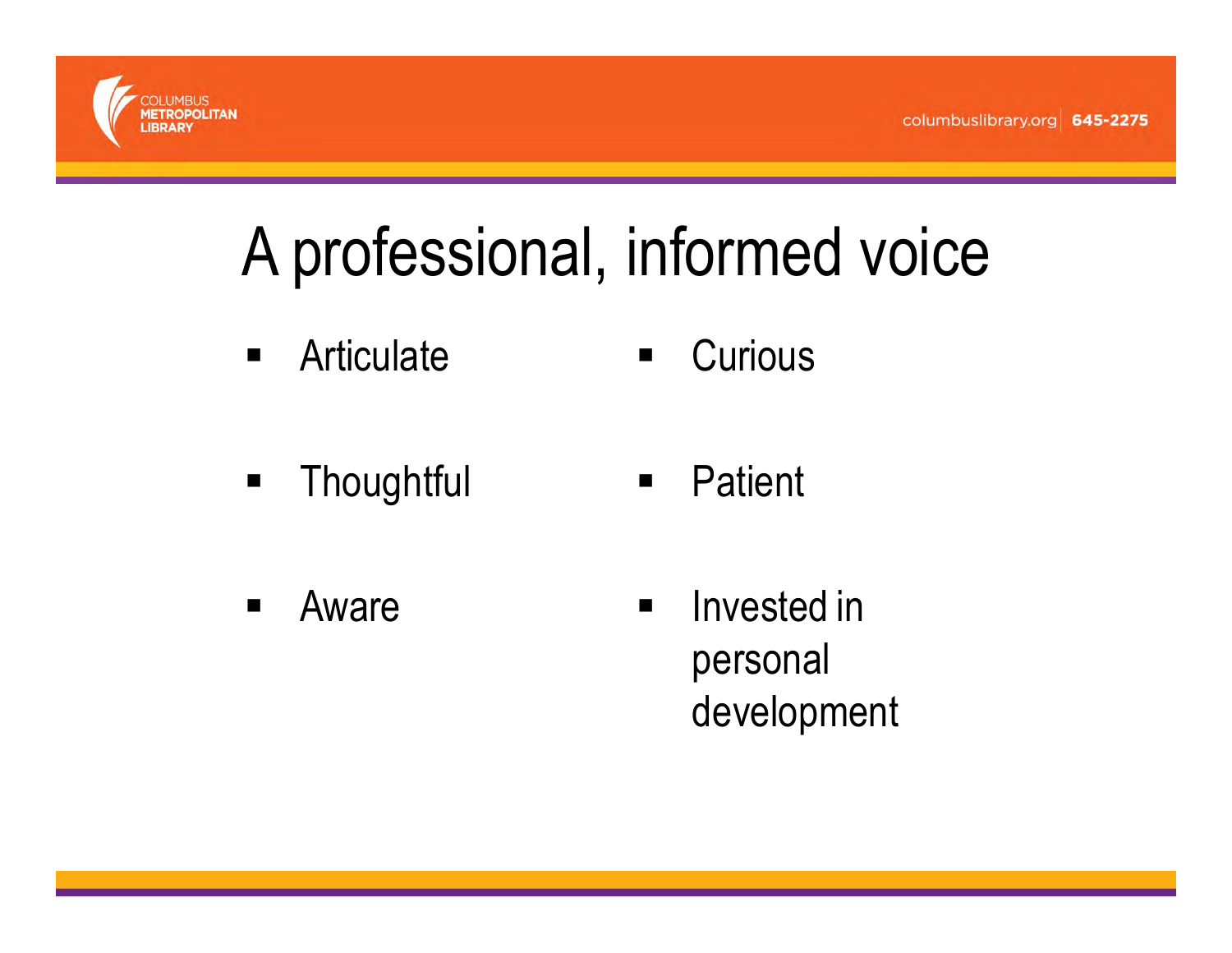

#### A professional, informed voice

- $\begin{array}{c} \hline \end{array}$ **Articulate**  $\blacksquare$ **Curious**
- **Thoughtful**  $\blacksquare$ **Patient**
- $\blacksquare$  Aware  $\blacksquare$  Invested in personal development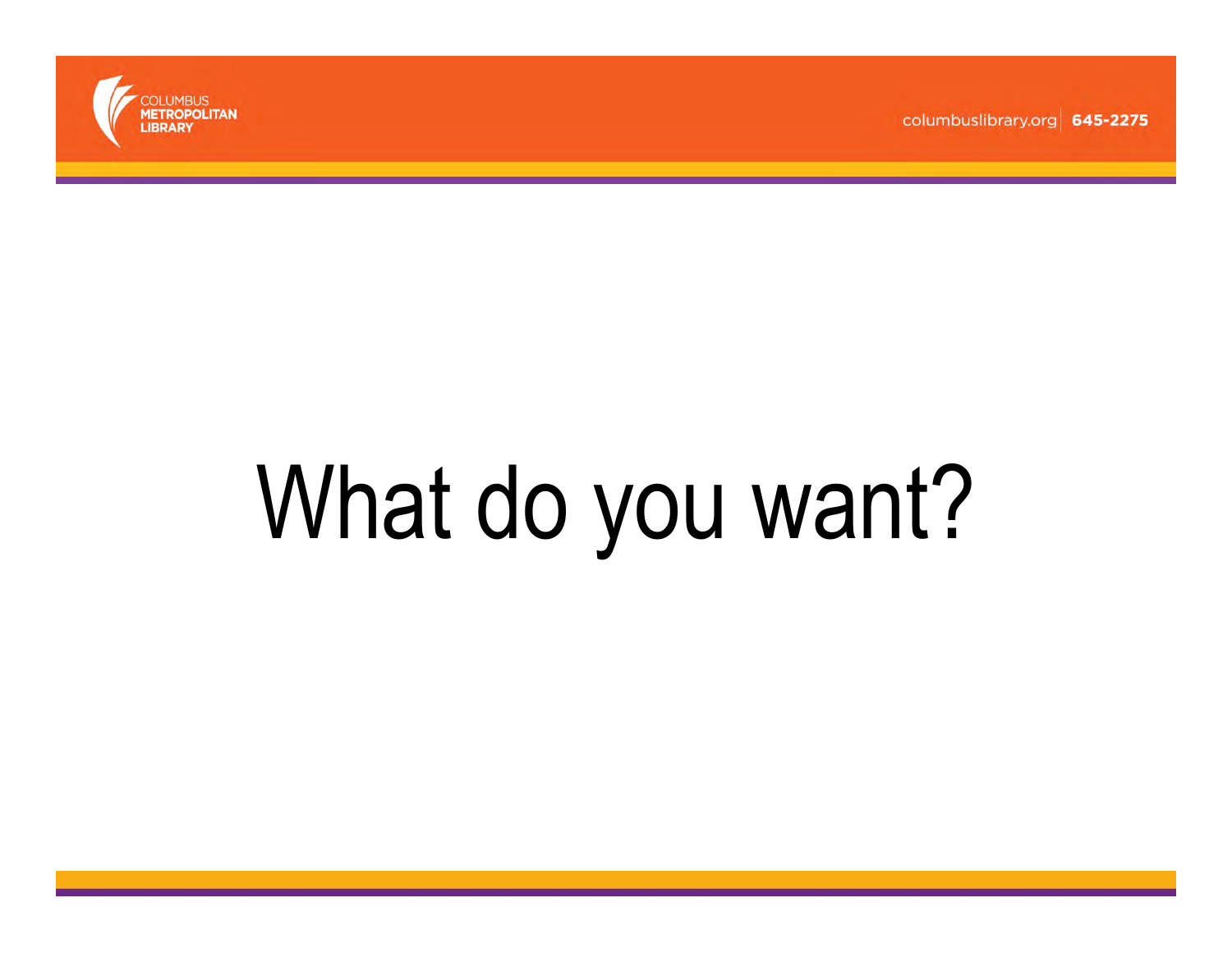

# What do you want?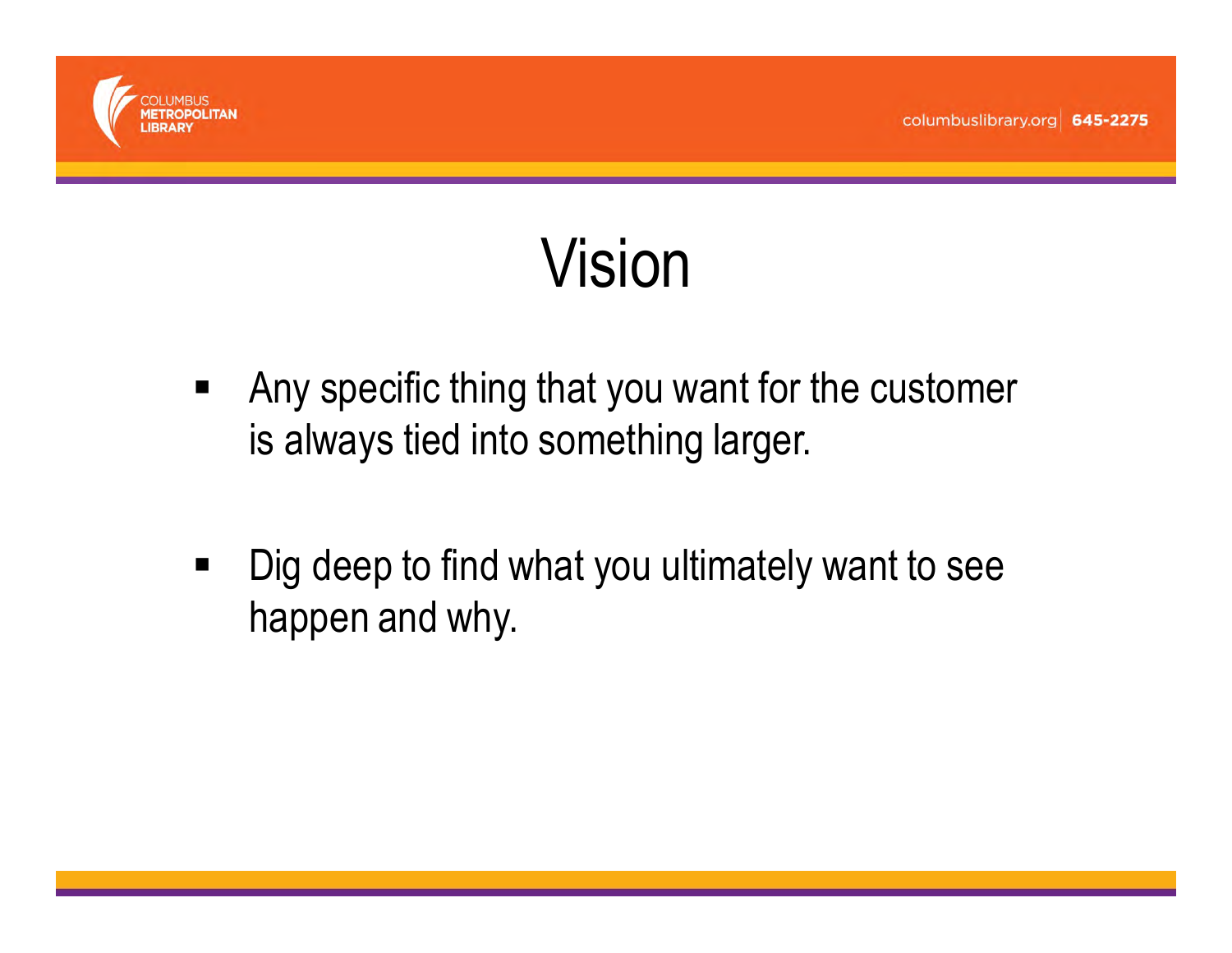

#### Vision

- $\blacksquare$  Any specific thing that you want for the customer is always tied into something larger.
- П Dig deep to find what you ultimately want to see happen and why.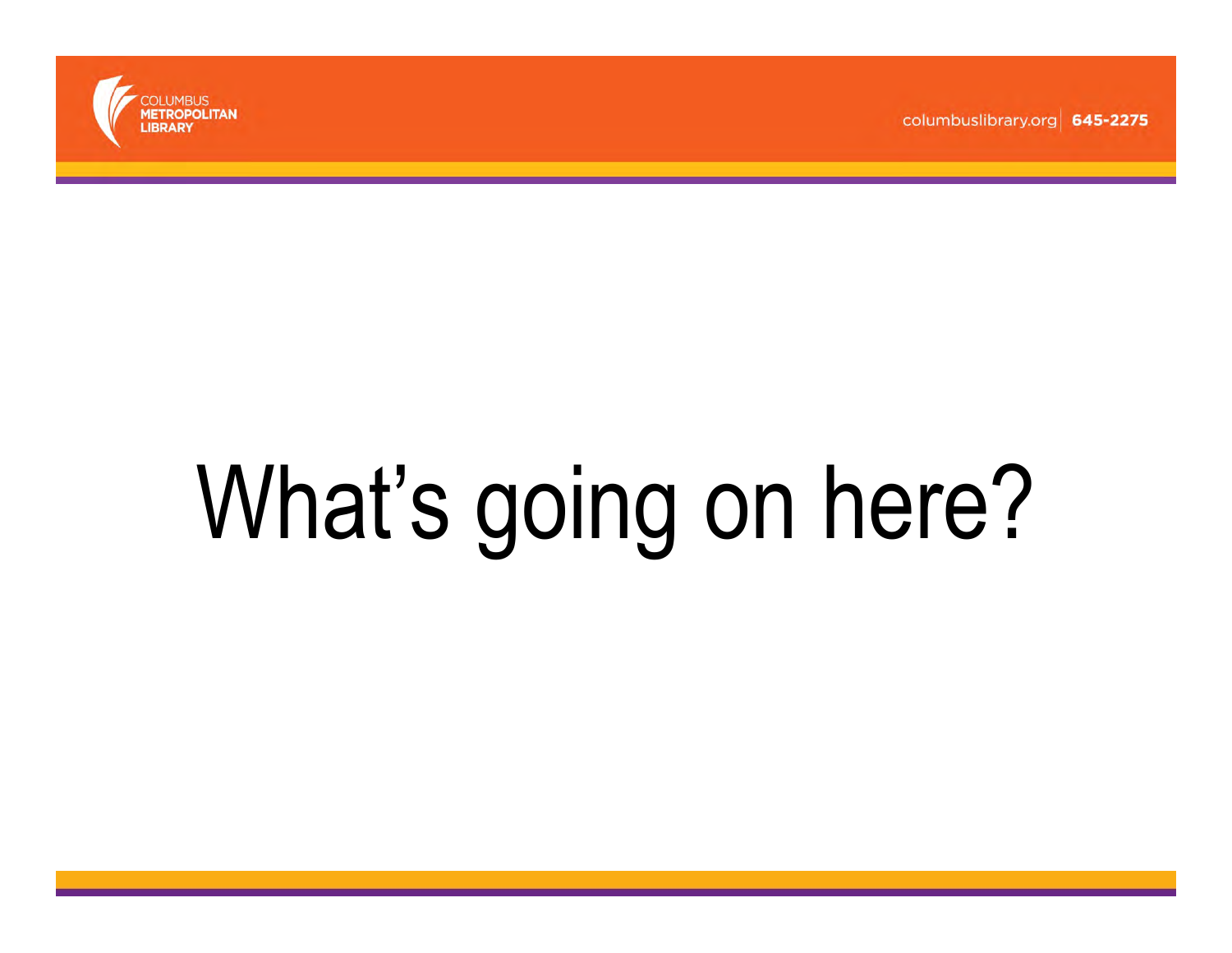

# What's going on here?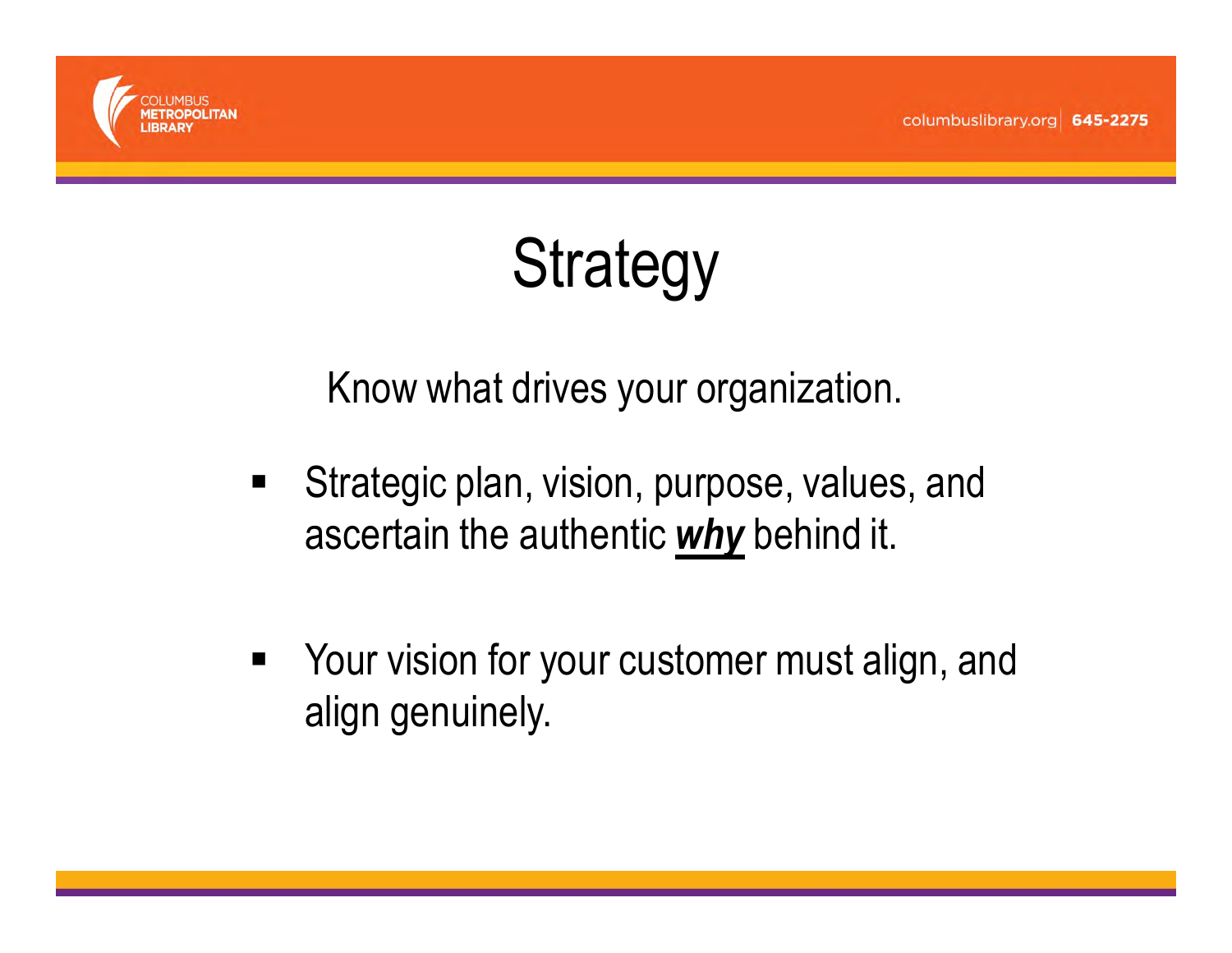

#### **Strategy**

Know what drives your organization.

- $\blacksquare$  Strategic plan, vision, purpose, values, and ascertain the authentic <mark>why</mark> behind it.
- **Nour vision for your customer must align, and** align genuinely.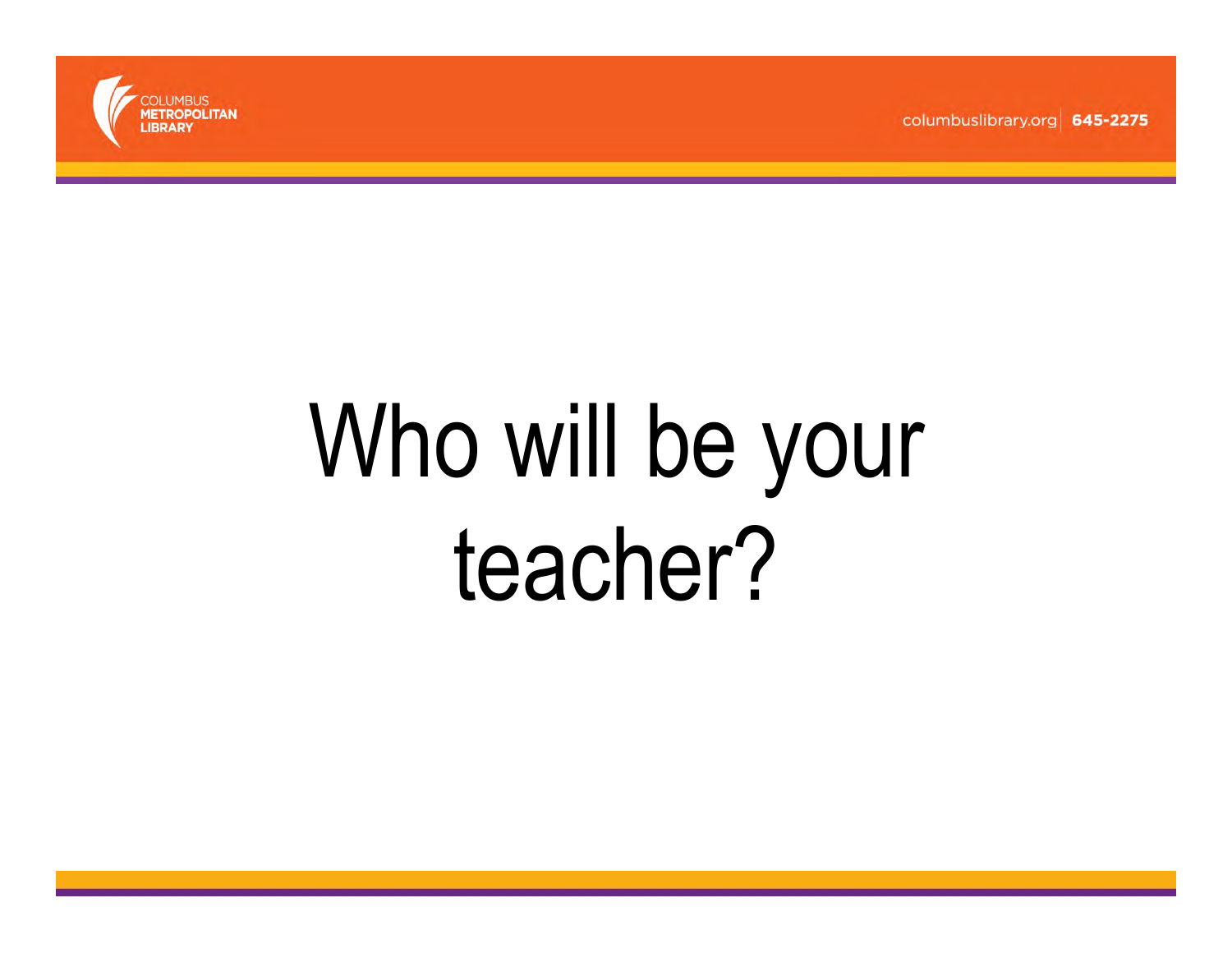

### Who will be your teacher?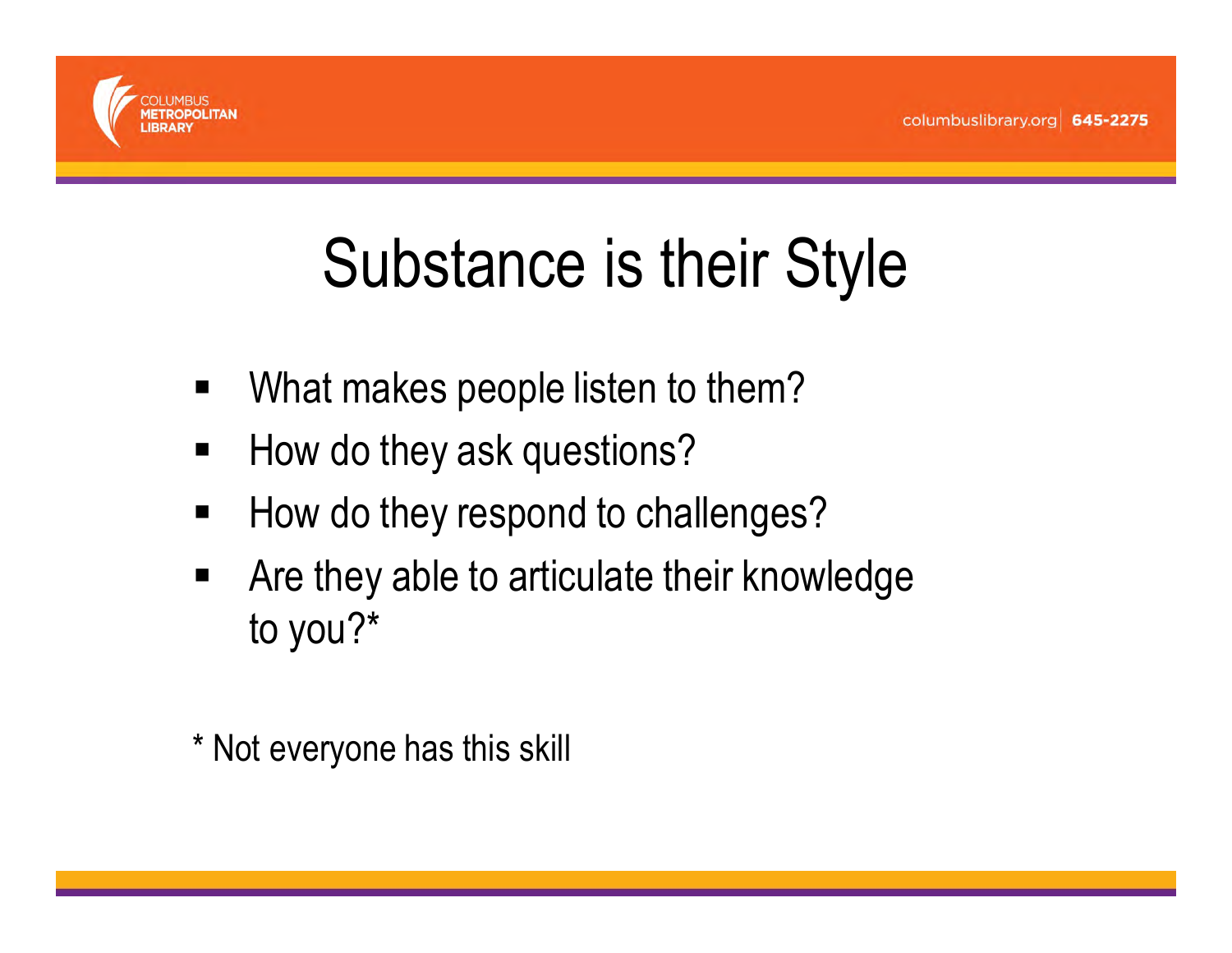

#### Substance is their Style

- $\blacksquare$ What makes people listen to them?
- п How do they ask questions?
- п How do they respond to challenges?
- п Are they able to articulate their knowledge to you?\*
- \* Not everyone has this skill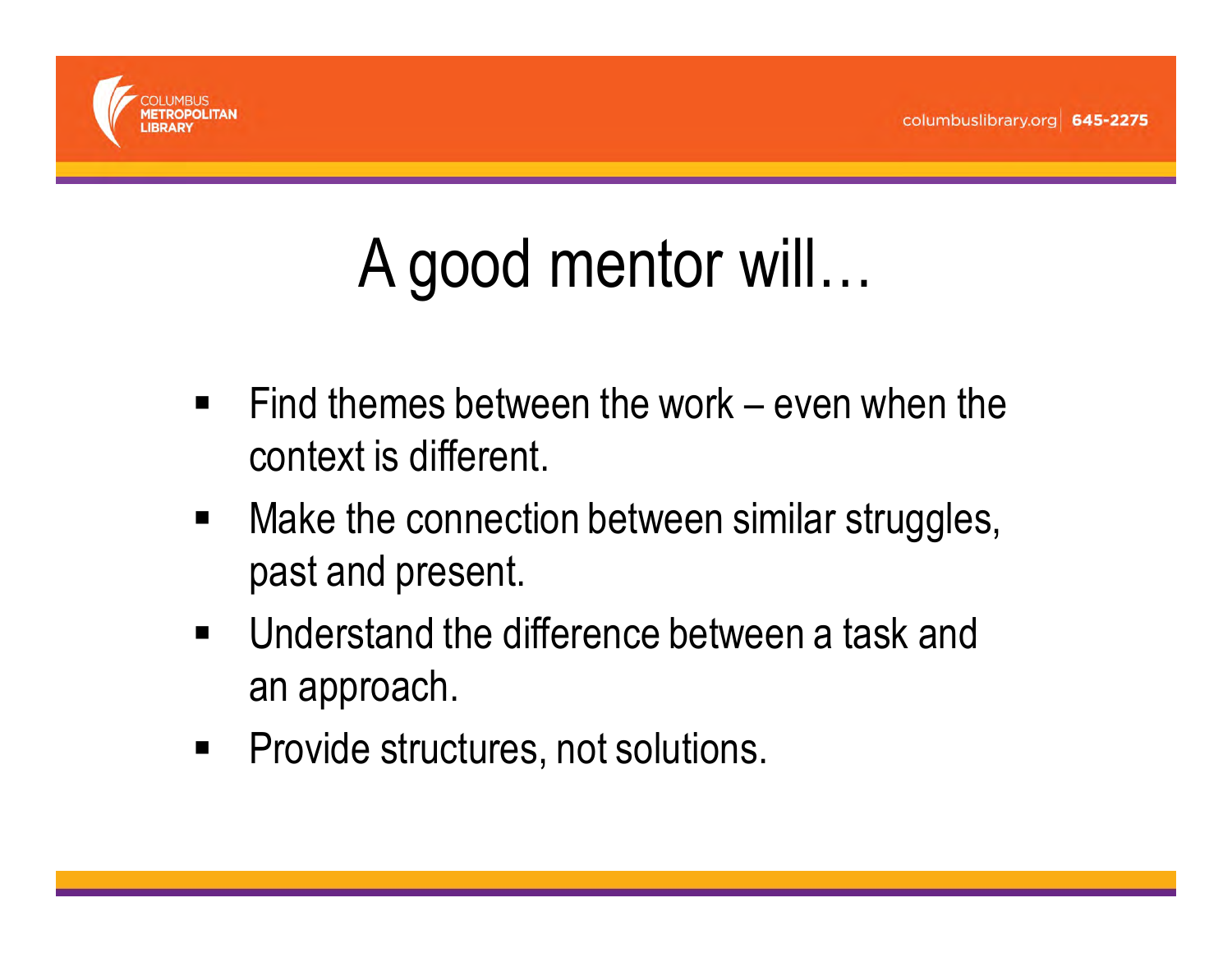

#### A good mentor will…

- $\blacksquare$  Find themes between the work – even when the context is different.
- $\blacksquare$  Make the connection between similar struggles, past and present.
- $\blacksquare$  Understand the difference between a task and an approach.
- Provide structures, not solutions.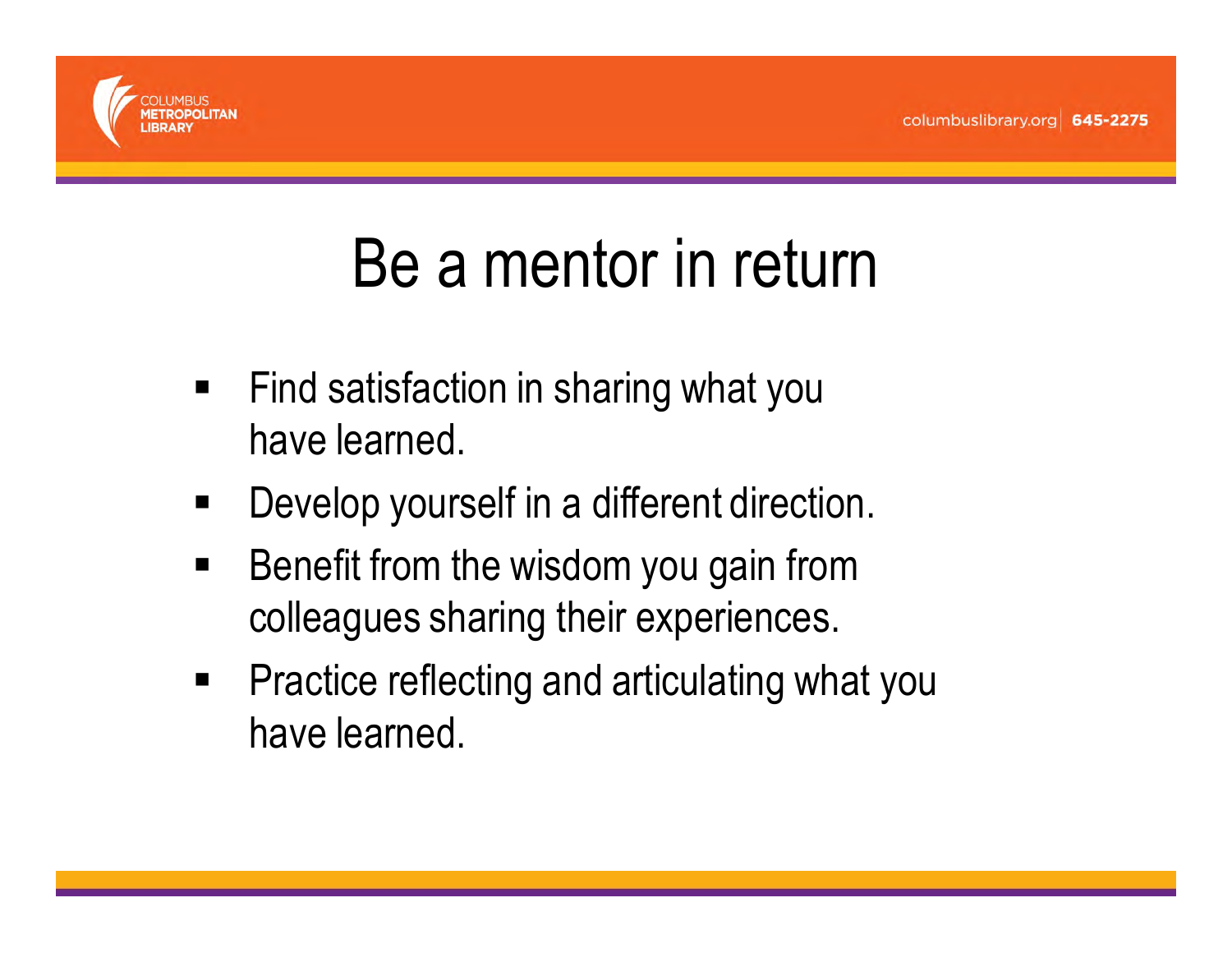

#### Be a mentor in return

- $\blacksquare$  Find satisfaction in sharing what you have learned.
- $\blacksquare$ Develop yourself in a different direction.
- $\blacksquare$  Benefit from the wisdom you gain from colleagues sharing their experiences.
- **Practice reflecting and articulating what you** have learned.